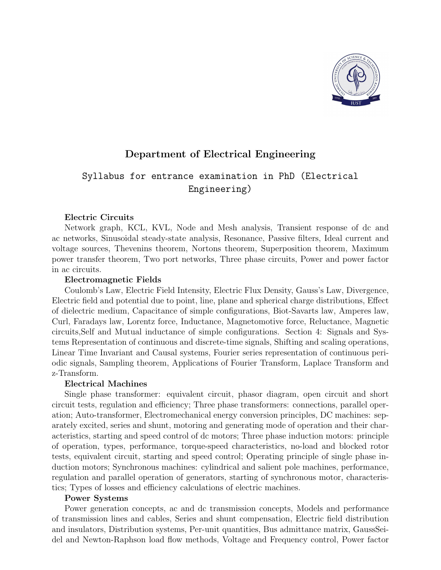

# Department of Electrical Engineering

# Syllabus for entrance examination in PhD (Electrical Engineering)

## Electric Circuits

Network graph, KCL, KVL, Node and Mesh analysis, Transient response of dc and ac networks, Sinusoidal steady-state analysis, Resonance, Passive filters, Ideal current and voltage sources, Thevenins theorem, Nortons theorem, Superposition theorem, Maximum power transfer theorem, Two port networks, Three phase circuits, Power and power factor in ac circuits.

## Electromagnetic Fields

Coulomb's Law, Electric Field Intensity, Electric Flux Density, Gauss's Law, Divergence, Electric field and potential due to point, line, plane and spherical charge distributions, Effect of dielectric medium, Capacitance of simple configurations, Biot-Savarts law, Amperes law, Curl, Faradays law, Lorentz force, Inductance, Magnetomotive force, Reluctance, Magnetic circuits,Self and Mutual inductance of simple configurations. Section 4: Signals and Systems Representation of continuous and discrete-time signals, Shifting and scaling operations, Linear Time Invariant and Causal systems, Fourier series representation of continuous periodic signals, Sampling theorem, Applications of Fourier Transform, Laplace Transform and z-Transform.

# Electrical Machines

Single phase transformer: equivalent circuit, phasor diagram, open circuit and short circuit tests, regulation and efficiency; Three phase transformers: connections, parallel operation; Auto-transformer, Electromechanical energy conversion principles, DC machines: separately excited, series and shunt, motoring and generating mode of operation and their characteristics, starting and speed control of dc motors; Three phase induction motors: principle of operation, types, performance, torque-speed characteristics, no-load and blocked rotor tests, equivalent circuit, starting and speed control; Operating principle of single phase induction motors; Synchronous machines: cylindrical and salient pole machines, performance, regulation and parallel operation of generators, starting of synchronous motor, characteristics; Types of losses and efficiency calculations of electric machines.

## Power Systems

Power generation concepts, ac and dc transmission concepts, Models and performance of transmission lines and cables, Series and shunt compensation, Electric field distribution and insulators, Distribution systems, Per-unit quantities, Bus admittance matrix, GaussSeidel and Newton-Raphson load flow methods, Voltage and Frequency control, Power factor